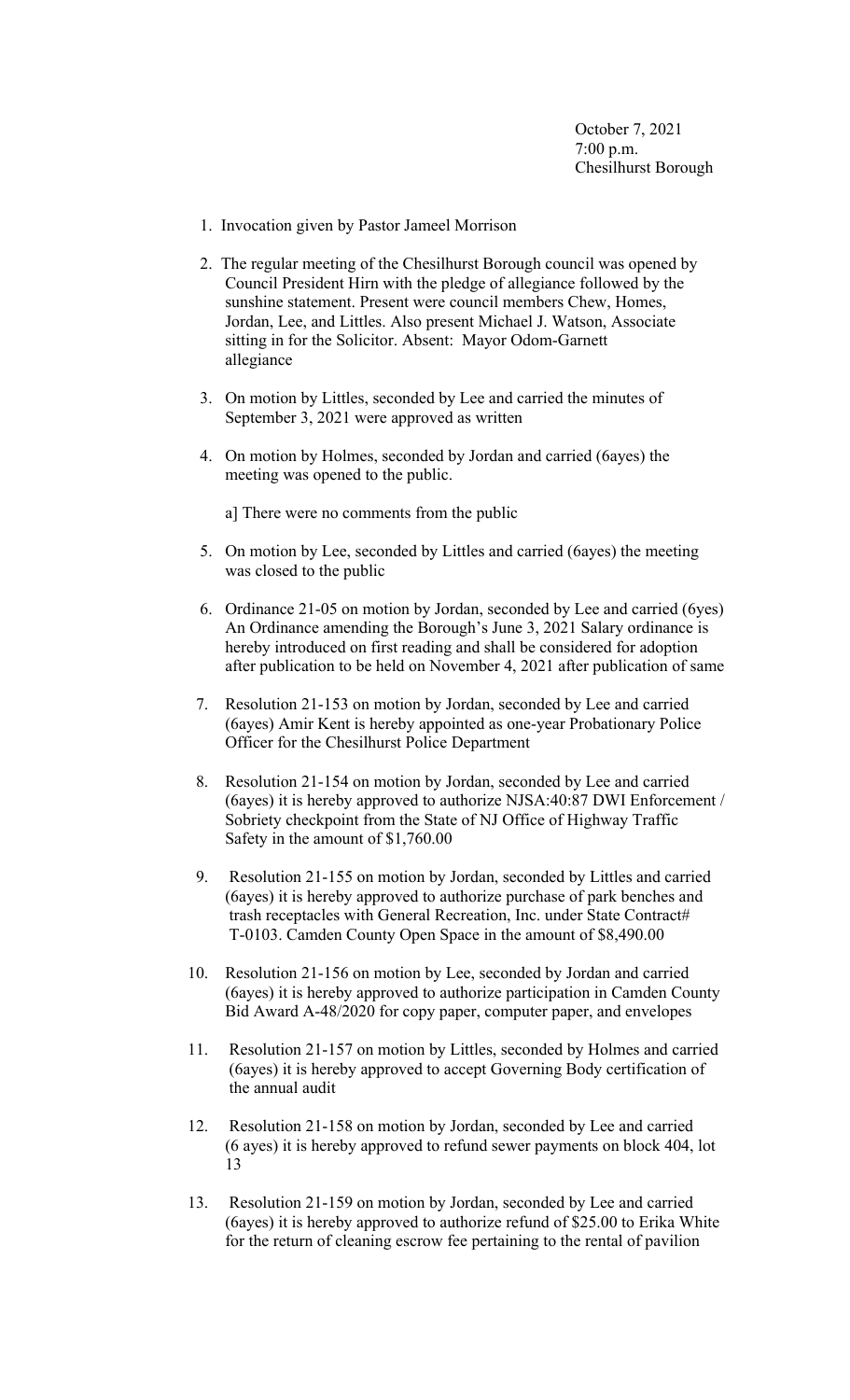October 7, 2021 7:00 p.m. Chesilhurst Borough

- 1. Invocation given by Pastor Jameel Morrison
- 2. The regular meeting of the Chesilhurst Borough council was opened by Council President Hirn with the pledge of allegiance followed by the sunshine statement. Present were council members Chew, Homes, Jordan, Lee, and Littles. Also present Michael J. Watson, Associate sitting in for the Solicitor. Absent: Mayor Odom-Garnett allegiance
- 3. On motion by Littles, seconded by Lee and carried the minutes of September 3, 2021 were approved as written
- 4. On motion by Holmes, seconded by Jordan and carried (6ayes) the meeting was opened to the public.

a] There were no comments from the public

- 5. On motion by Lee, seconded by Littles and carried (6ayes) the meeting was closed to the public
- 6. Ordinance 21-05 on motion by Jordan, seconded by Lee and carried (6yes) An Ordinance amending the Borough's June 3, 2021 Salary ordinance is hereby introduced on first reading and shall be considered for adoption after publication to be held on November 4, 2021 after publication of same
- 7. Resolution 21-153 on motion by Jordan, seconded by Lee and carried (6ayes) Amir Kent is hereby appointed as one-year Probationary Police Officer for the Chesilhurst Police Department
- 8. Resolution 21-154 on motion by Jordan, seconded by Lee and carried (6ayes) it is hereby approved to authorize NJSA:40:87 DWI Enforcement / Sobriety checkpoint from the State of NJ Office of Highway Traffic Safety in the amount of \$1,760.00
- 9. Resolution 21-155 on motion by Jordan, seconded by Littles and carried (6ayes) it is hereby approved to authorize purchase of park benches and trash receptacles with General Recreation, Inc. under State Contract# T-0103. Camden County Open Space in the amount of \$8,490.00
- 10. Resolution 21-156 on motion by Lee, seconded by Jordan and carried (6ayes) it is hereby approved to authorize participation in Camden County Bid Award A-48/2020 for copy paper, computer paper, and envelopes
- 11. Resolution 21-157 on motion by Littles, seconded by Holmes and carried (6ayes) it is hereby approved to accept Governing Body certification of the annual audit
- 12. Resolution 21-158 on motion by Jordan, seconded by Lee and carried (6 ayes) it is hereby approved to refund sewer payments on block 404, lot 13
- 13. Resolution 21-159 on motion by Jordan, seconded by Lee and carried (6ayes) it is hereby approved to authorize refund of \$25.00 to Erika White for the return of cleaning escrow fee pertaining to the rental of pavilion